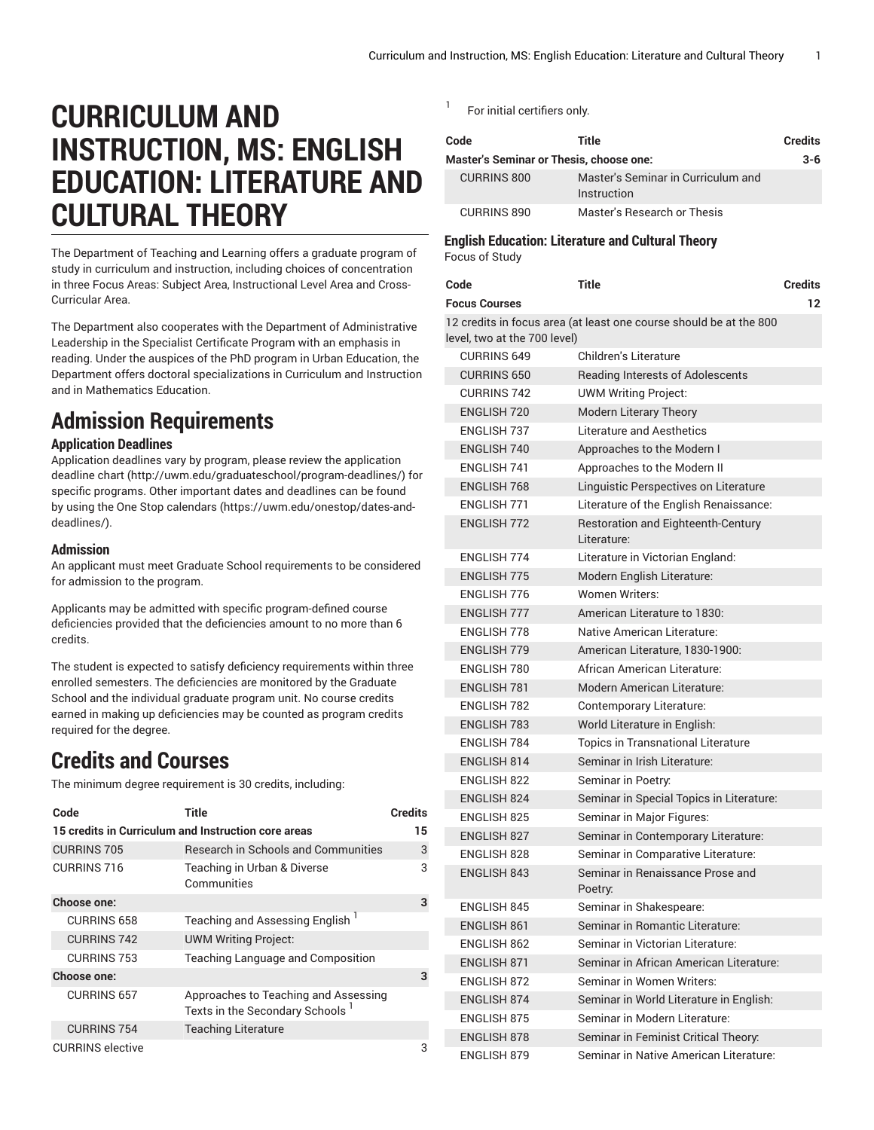# **CURRICULUM AND INSTRUCTION, MS: ENGLISH EDUCATION: LITERATURE AND CULTURAL THEORY**

The Department of Teaching and Learning offers a graduate program of study in curriculum and instruction, including choices of concentration in three Focus Areas: Subject Area, Instructional Level Area and Cross-Curricular Area.

The Department also cooperates with the Department of Administrative Leadership in the Specialist Certificate Program with an emphasis in reading. Under the auspices of the PhD program in Urban Education, the Department offers doctoral specializations in Curriculum and Instruction and in Mathematics Education.

# **Admission Requirements**

### **Application Deadlines**

Application deadlines vary by program, please review the [application](http://uwm.edu/graduateschool/program-deadlines/) [deadline](http://uwm.edu/graduateschool/program-deadlines/) chart ([http://uwm.edu/graduateschool/program-deadlines/\)](http://uwm.edu/graduateschool/program-deadlines/) for specific programs. Other important dates and deadlines can be found by using the [One Stop calendars](https://uwm.edu/onestop/dates-and-deadlines/) ([https://uwm.edu/onestop/dates-and](https://uwm.edu/onestop/dates-and-deadlines/)[deadlines/\)](https://uwm.edu/onestop/dates-and-deadlines/).

#### **Admission**

An applicant must meet Graduate School requirements to be considered for admission to the program.

Applicants may be admitted with specific program-defined course deficiencies provided that the deficiencies amount to no more than 6 credits.

The student is expected to satisfy deficiency requirements within three enrolled semesters. The deficiencies are monitored by the Graduate School and the individual graduate program unit. No course credits earned in making up deficiencies may be counted as program credits required for the degree.

## **Credits and Courses**

The minimum degree requirement is 30 credits, including:

| Code                                                | Title                                                                               | <b>Credits</b> |
|-----------------------------------------------------|-------------------------------------------------------------------------------------|----------------|
| 15 credits in Curriculum and Instruction core areas |                                                                                     |                |
| <b>CURRINS 705</b>                                  | Research in Schools and Communities                                                 | 3              |
| CURRINS 716                                         | Teaching in Urban & Diverse<br>Communities                                          | 3              |
| <b>Choose one:</b>                                  |                                                                                     | 3              |
| <b>CURRINS 658</b>                                  | Teaching and Assessing English '                                                    |                |
| <b>CURRINS 742</b>                                  | <b>UWM Writing Project:</b>                                                         |                |
| <b>CURRINS 753</b>                                  | Teaching Language and Composition                                                   |                |
| Choose one:                                         |                                                                                     | 3              |
| <b>CURRINS 657</b>                                  | Approaches to Teaching and Assessing<br>Texts in the Secondary Schools <sup>1</sup> |                |
| <b>CURRINS 754</b>                                  | <b>Teaching Literature</b>                                                          |                |
| <b>CURRINS</b> elective                             |                                                                                     | 3              |

1 For initial certifiers only.

| Code                                           | Title                                             | <b>Credits</b> |
|------------------------------------------------|---------------------------------------------------|----------------|
| <b>Master's Seminar or Thesis, choose one:</b> |                                                   | $3 - 6$        |
| <b>CURRINS 800</b>                             | Master's Seminar in Curriculum and<br>Instruction |                |
| <b>CURRINS 890</b>                             | Master's Research or Thesis                       |                |

#### **English Education: Literature and Cultural Theory** Focus of Study

| Code<br><b>Focus Courses</b>                                                                       | <b>Title</b>                                      | <b>Credits</b><br>12 |
|----------------------------------------------------------------------------------------------------|---------------------------------------------------|----------------------|
| 12 credits in focus area (at least one course should be at the 800<br>level, two at the 700 level) |                                                   |                      |
| <b>CURRINS 649</b>                                                                                 | Children's Literature                             |                      |
| <b>CURRINS 650</b>                                                                                 | Reading Interests of Adolescents                  |                      |
| <b>CURRINS 742</b>                                                                                 | <b>UWM Writing Project:</b>                       |                      |
| <b>ENGLISH 720</b>                                                                                 | Modern Literary Theory                            |                      |
| FNGLISH 737                                                                                        | Literature and Aesthetics                         |                      |
| <b>ENGLISH 740</b>                                                                                 | Approaches to the Modern I                        |                      |
| <b>ENGLISH 741</b>                                                                                 | Approaches to the Modern II                       |                      |
| <b>ENGLISH 768</b>                                                                                 | Linguistic Perspectives on Literature             |                      |
| <b>ENGLISH 771</b>                                                                                 | Literature of the English Renaissance:            |                      |
| <b>ENGLISH 772</b>                                                                                 | Restoration and Eighteenth-Century<br>Literature: |                      |
| <b>ENGLISH 774</b>                                                                                 | Literature in Victorian England:                  |                      |
| <b>ENGLISH 775</b>                                                                                 | Modern English Literature:                        |                      |
| <b>FNGI ISH 776</b>                                                                                | <b>Women Writers:</b>                             |                      |
| <b>ENGLISH 777</b>                                                                                 | American Literature to 1830:                      |                      |
| <b>ENGLISH 778</b>                                                                                 | Native American Literature:                       |                      |
| <b>ENGLISH 779</b>                                                                                 | American Literature, 1830-1900:                   |                      |
| ENGLISH 780                                                                                        | African American Literature:                      |                      |
| <b>ENGLISH 781</b>                                                                                 | <b>Modern American Literature:</b>                |                      |
| <b>ENGLISH 782</b>                                                                                 | Contemporary Literature:                          |                      |
| <b>ENGLISH 783</b>                                                                                 | World Literature in English:                      |                      |
| ENGLISH 784                                                                                        | <b>Topics in Transnational Literature</b>         |                      |
| <b>ENGLISH 814</b>                                                                                 | Seminar in Irish Literature:                      |                      |
| ENGLISH 822                                                                                        | Seminar in Poetry:                                |                      |
| <b>ENGLISH 824</b>                                                                                 | Seminar in Special Topics in Literature:          |                      |
| <b>ENGLISH 825</b>                                                                                 | Seminar in Major Figures:                         |                      |
| <b>ENGLISH 827</b>                                                                                 | Seminar in Contemporary Literature:               |                      |
| ENGLISH 828                                                                                        | Seminar in Comparative Literature:                |                      |
| <b>ENGLISH 843</b>                                                                                 | Seminar in Renaissance Prose and<br>Poetry:       |                      |
| ENGLISH 845                                                                                        | Seminar in Shakespeare:                           |                      |
| <b>ENGLISH 861</b>                                                                                 | Seminar in Romantic Literature:                   |                      |
| ENGLISH 862                                                                                        | Seminar in Victorian Literature:                  |                      |
| <b>ENGLISH 871</b>                                                                                 | Seminar in African American Literature:           |                      |
| <b>ENGLISH 872</b>                                                                                 | Seminar in Women Writers:                         |                      |
| <b>ENGLISH 874</b>                                                                                 | Seminar in World Literature in English:           |                      |
| <b>ENGLISH 875</b>                                                                                 | Seminar in Modern Literature:                     |                      |
| <b>ENGLISH 878</b>                                                                                 | Seminar in Feminist Critical Theory:              |                      |
| <b>ENGLISH 879</b>                                                                                 | Seminar in Native American Literature:            |                      |